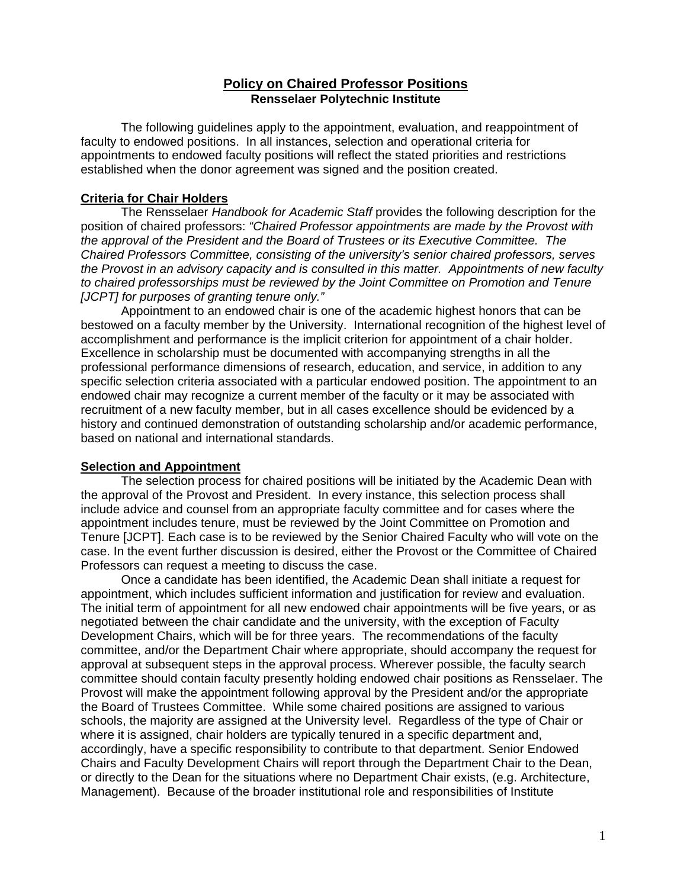# **Policy on Chaired Professor Positions Rensselaer Polytechnic Institute**

The following guidelines apply to the appointment, evaluation, and reappointment of faculty to endowed positions. In all instances, selection and operational criteria for appointments to endowed faculty positions will reflect the stated priorities and restrictions established when the donor agreement was signed and the position created.

### **Criteria for Chair Holders**

The Rensselaer *Handbook for Academic Staff* provides the following description for the position of chaired professors: *"Chaired Professor appointments are made by the Provost with the approval of the President and the Board of Trustees or its Executive Committee. The Chaired Professors Committee, consisting of the university's senior chaired professors, serves the Provost in an advisory capacity and is consulted in this matter. Appointments of new faculty to chaired professorships must be reviewed by the Joint Committee on Promotion and Tenure [JCPT] for purposes of granting tenure only."*

Appointment to an endowed chair is one of the academic highest honors that can be bestowed on a faculty member by the University. International recognition of the highest level of accomplishment and performance is the implicit criterion for appointment of a chair holder. Excellence in scholarship must be documented with accompanying strengths in all the professional performance dimensions of research, education, and service, in addition to any specific selection criteria associated with a particular endowed position. The appointment to an endowed chair may recognize a current member of the faculty or it may be associated with recruitment of a new faculty member, but in all cases excellence should be evidenced by a history and continued demonstration of outstanding scholarship and/or academic performance, based on national and international standards.

#### **Selection and Appointment**

The selection process for chaired positions will be initiated by the Academic Dean with the approval of the Provost and President. In every instance, this selection process shall include advice and counsel from an appropriate faculty committee and for cases where the appointment includes tenure, must be reviewed by the Joint Committee on Promotion and Tenure [JCPT]. Each case is to be reviewed by the Senior Chaired Faculty who will vote on the case. In the event further discussion is desired, either the Provost or the Committee of Chaired Professors can request a meeting to discuss the case.

Once a candidate has been identified, the Academic Dean shall initiate a request for appointment, which includes sufficient information and justification for review and evaluation. The initial term of appointment for all new endowed chair appointments will be five years, or as negotiated between the chair candidate and the university, with the exception of Faculty Development Chairs, which will be for three years. The recommendations of the faculty committee, and/or the Department Chair where appropriate, should accompany the request for approval at subsequent steps in the approval process. Wherever possible, the faculty search committee should contain faculty presently holding endowed chair positions as Rensselaer. The Provost will make the appointment following approval by the President and/or the appropriate the Board of Trustees Committee. While some chaired positions are assigned to various schools, the majority are assigned at the University level. Regardless of the type of Chair or where it is assigned, chair holders are typically tenured in a specific department and, accordingly, have a specific responsibility to contribute to that department. Senior Endowed Chairs and Faculty Development Chairs will report through the Department Chair to the Dean, or directly to the Dean for the situations where no Department Chair exists, (e.g. Architecture, Management). Because of the broader institutional role and responsibilities of Institute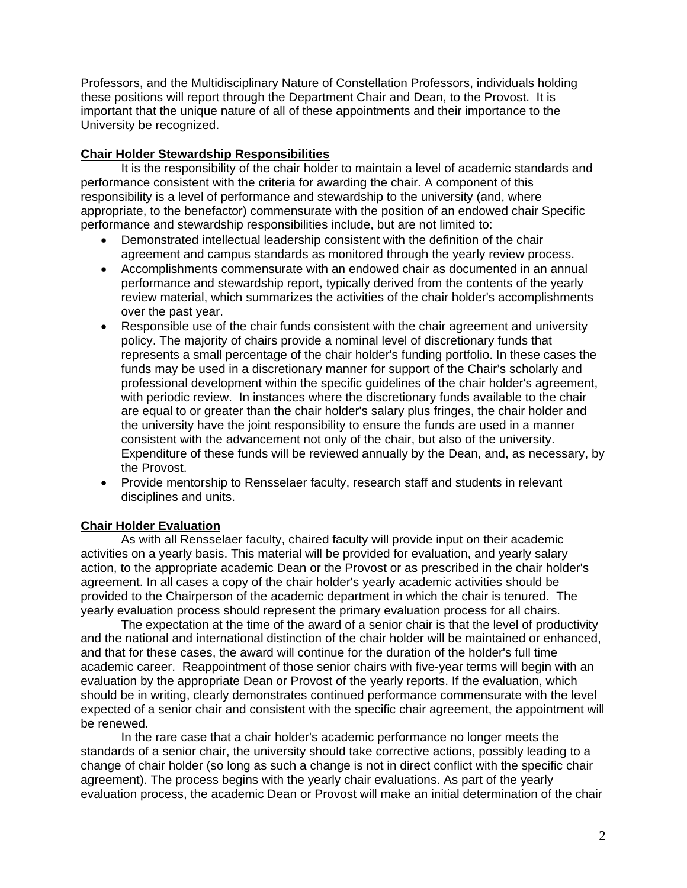Professors, and the Multidisciplinary Nature of Constellation Professors, individuals holding these positions will report through the Department Chair and Dean, to the Provost. It is important that the unique nature of all of these appointments and their importance to the University be recognized.

# **Chair Holder Stewardship Responsibilities**

It is the responsibility of the chair holder to maintain a level of academic standards and performance consistent with the criteria for awarding the chair. A component of this responsibility is a level of performance and stewardship to the university (and, where appropriate, to the benefactor) commensurate with the position of an endowed chair Specific performance and stewardship responsibilities include, but are not limited to:

- Demonstrated intellectual leadership consistent with the definition of the chair agreement and campus standards as monitored through the yearly review process.
- Accomplishments commensurate with an endowed chair as documented in an annual performance and stewardship report, typically derived from the contents of the yearly review material, which summarizes the activities of the chair holder's accomplishments over the past year.
- Responsible use of the chair funds consistent with the chair agreement and university policy. The majority of chairs provide a nominal level of discretionary funds that represents a small percentage of the chair holder's funding portfolio. In these cases the funds may be used in a discretionary manner for support of the Chair's scholarly and professional development within the specific guidelines of the chair holder's agreement, with periodic review. In instances where the discretionary funds available to the chair are equal to or greater than the chair holder's salary plus fringes, the chair holder and the university have the joint responsibility to ensure the funds are used in a manner consistent with the advancement not only of the chair, but also of the university. Expenditure of these funds will be reviewed annually by the Dean, and, as necessary, by the Provost.
- Provide mentorship to Rensselaer faculty, research staff and students in relevant disciplines and units.

# **Chair Holder Evaluation**

As with all Rensselaer faculty, chaired faculty will provide input on their academic activities on a yearly basis. This material will be provided for evaluation, and yearly salary action, to the appropriate academic Dean or the Provost or as prescribed in the chair holder's agreement. In all cases a copy of the chair holder's yearly academic activities should be provided to the Chairperson of the academic department in which the chair is tenured. The yearly evaluation process should represent the primary evaluation process for all chairs.

The expectation at the time of the award of a senior chair is that the level of productivity and the national and international distinction of the chair holder will be maintained or enhanced, and that for these cases, the award will continue for the duration of the holder's full time academic career. Reappointment of those senior chairs with five-year terms will begin with an evaluation by the appropriate Dean or Provost of the yearly reports. If the evaluation, which should be in writing, clearly demonstrates continued performance commensurate with the level expected of a senior chair and consistent with the specific chair agreement, the appointment will be renewed.

In the rare case that a chair holder's academic performance no longer meets the standards of a senior chair, the university should take corrective actions, possibly leading to a change of chair holder (so long as such a change is not in direct conflict with the specific chair agreement). The process begins with the yearly chair evaluations. As part of the yearly evaluation process, the academic Dean or Provost will make an initial determination of the chair